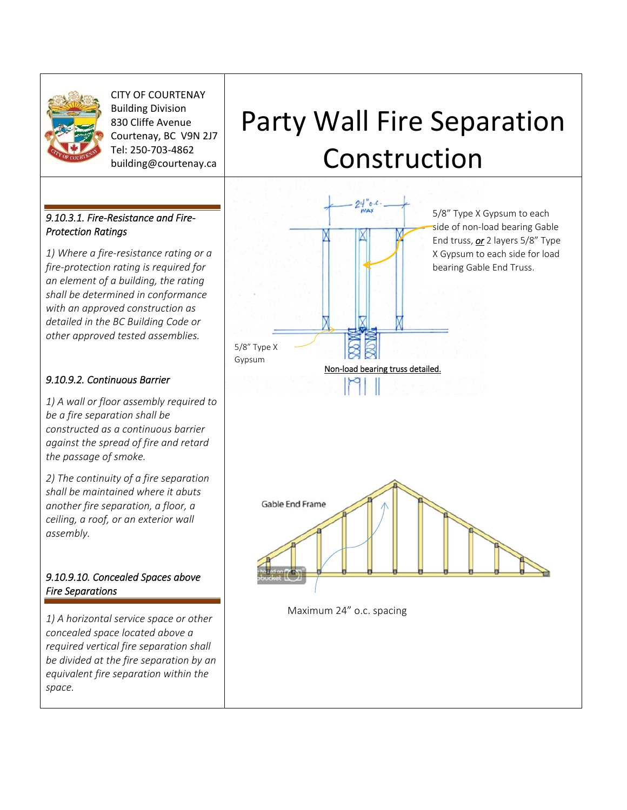

CITY OF COURTENAY Building Division 830 Cliffe Avenue Courtenay, BC V9N 2J7 Tel: 250‐703‐4862 building@courtenay.ca

## *9.10.3.1. Fire‐Resistance and Fire‐ Protection Ratings*

*1) Where a fire‐resistance rating or a fire‐protection rating is required for an element of a building, the rating shall be determined in conformance with an approved construction as detailed in the BC Building Code or other approved tested assemblies.* 

## *9.10.9.2. Continuous Barrier*

*1) A wall or floor assembly required to be a fire separation shall be constructed as a continuous barrier against the spread of fire and retard the passage of smoke.* 

*2) The continuity of a fire separation shall be maintained where it abuts another fire separation, a floor, a ceiling, a roof, or an exterior wall assembly.* 

## *9.10.9.10. Concealed Spaces above Fire Separations*

*1) A horizontal service space or other concealed space located above a required vertical fire separation shall be divided at the fire separation by an equivalent fire separation within the space.*

## Party Wall Fire Separation Construction